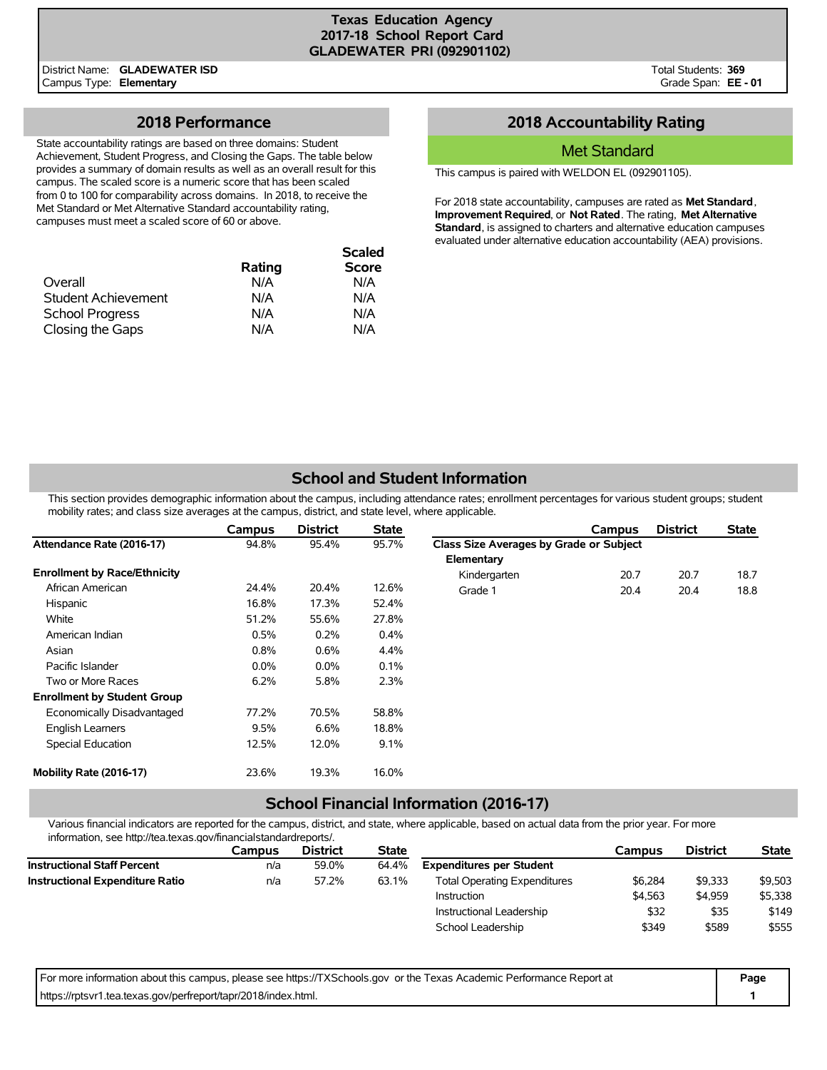#### **Texas Education Agency 2017-18 School Report Card GLADEWATER PRI (092901102)**

District Name: **GLADEWATER ISD** Campus Type: **Elementary**

Total Students: **369** Grade Span: **EE - 01**

### **2018 Performance**

State accountability ratings are based on three domains: Student Achievement, Student Progress, and Closing the Gaps. The table below provides a summary of domain results as well as an overall result for this campus. The scaled score is a numeric score that has been scaled from 0 to 100 for comparability across domains. In 2018, to receive the Met Standard or Met Alternative Standard accountability rating, campuses must meet a scaled score of 60 or above.

|                            |        | <b>Scaled</b> |
|----------------------------|--------|---------------|
|                            | Rating | <b>Score</b>  |
| Overall                    | N/A    | N/A           |
| <b>Student Achievement</b> | N/A    | N/A           |
| <b>School Progress</b>     | N/A    | N/A           |
| Closing the Gaps           | N/A    | N/A           |

## **2018 Accountability Rating**

### Met Standard

This campus is paired with WELDON EL (092901105).

For 2018 state accountability, campuses are rated as **Met Standard**, **Improvement Required**, or **Not Rated**. The rating, **Met Alternative Standard**, is assigned to charters and alternative education campuses evaluated under alternative education accountability (AEA) provisions.

# **School and Student Information**

This section provides demographic information about the campus, including attendance rates; enrollment percentages for various student groups; student mobility rates; and class size averages at the campus, district, and state level, where applicable.

|                                     | Campus  | <b>District</b> | <b>State</b> |                                         | Campus | <b>District</b> | <b>State</b> |
|-------------------------------------|---------|-----------------|--------------|-----------------------------------------|--------|-----------------|--------------|
| Attendance Rate (2016-17)           | 94.8%   | 95.4%           | 95.7%        | Class Size Averages by Grade or Subject |        |                 |              |
|                                     |         |                 |              | Elementary                              |        |                 |              |
| <b>Enrollment by Race/Ethnicity</b> |         |                 |              | Kindergarten                            | 20.7   | 20.7            | 18.7         |
| African American                    | 24.4%   | 20.4%           | 12.6%        | Grade 1                                 | 20.4   | 20.4            | 18.8         |
| Hispanic                            | 16.8%   | 17.3%           | 52.4%        |                                         |        |                 |              |
| White                               | 51.2%   | 55.6%           | 27.8%        |                                         |        |                 |              |
| American Indian                     | 0.5%    | 0.2%            | 0.4%         |                                         |        |                 |              |
| Asian                               | 0.8%    | 0.6%            | 4.4%         |                                         |        |                 |              |
| Pacific Islander                    | $0.0\%$ | $0.0\%$         | 0.1%         |                                         |        |                 |              |
| Two or More Races                   | 6.2%    | 5.8%            | 2.3%         |                                         |        |                 |              |
| <b>Enrollment by Student Group</b>  |         |                 |              |                                         |        |                 |              |
| Economically Disadvantaged          | 77.2%   | 70.5%           | 58.8%        |                                         |        |                 |              |
| <b>English Learners</b>             | 9.5%    | 6.6%            | 18.8%        |                                         |        |                 |              |
| Special Education                   | 12.5%   | 12.0%           | 9.1%         |                                         |        |                 |              |
| Mobility Rate (2016-17)             | 23.6%   | 19.3%           | 16.0%        |                                         |        |                 |              |

### **School Financial Information (2016-17)**

Various financial indicators are reported for the campus, district, and state, where applicable, based on actual data from the prior year. For more information, see http://tea.texas.gov/financialstandardreports/.

| Campus | <b>District</b> | <b>State</b> |                                     | Campus  | <b>District</b> | <b>State</b> |
|--------|-----------------|--------------|-------------------------------------|---------|-----------------|--------------|
| n/a    | 59.0%           | 64.4%        | <b>Expenditures per Student</b>     |         |                 |              |
| n/a    | 57.2%           | 63.1%        | <b>Total Operating Expenditures</b> | \$6.284 | \$9,333         | \$9,503      |
|        |                 |              | Instruction                         | \$4.563 | \$4.959         | \$5,338      |
|        |                 |              | Instructional Leadership            | \$32    | \$35            | \$149        |
|        |                 |              | School Leadership                   | \$349   | \$589           | \$555        |
|        |                 |              |                                     |         |                 |              |

| For more information about this campus, please see https://TXSchools.gov or the Texas Academic Performance Report at |  |  |
|----------------------------------------------------------------------------------------------------------------------|--|--|
| https://rptsvr1.tea.texas.gov/perfreport/tapr/2018/index.html.                                                       |  |  |